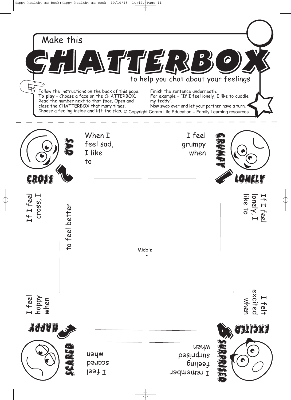